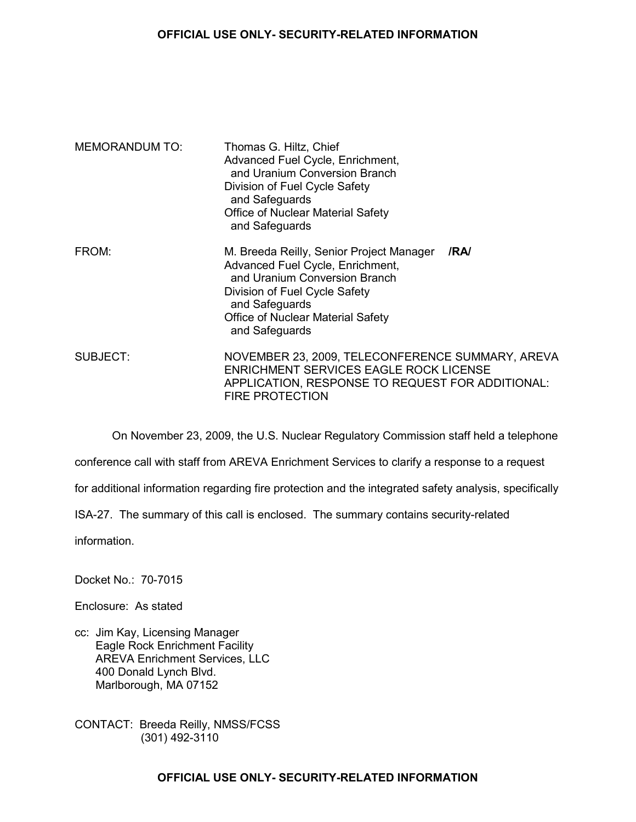## **OFFICIAL USE ONLY- SECURITY-RELATED INFORMATION**

| <b>MEMORANDUM TO:</b> | Thomas G. Hiltz, Chief<br>Advanced Fuel Cycle, Enrichment,<br>and Uranium Conversion Branch<br>Division of Fuel Cycle Safety<br>and Safeguards<br>Office of Nuclear Material Safety<br>and Safeguards                          |      |
|-----------------------|--------------------------------------------------------------------------------------------------------------------------------------------------------------------------------------------------------------------------------|------|
| FROM:                 | M. Breeda Reilly, Senior Project Manager<br>Advanced Fuel Cycle, Enrichment,<br>and Uranium Conversion Branch<br>Division of Fuel Cycle Safety<br>and Safeguards<br><b>Office of Nuclear Material Safety</b><br>and Safeguards | /RA/ |
| SUBJECT:              | NOVEMBER 23, 2009, TELECONFERENCE SUMMARY, AREVA<br>ENRICHMENT SERVICES EAGLE ROCK LICENSE<br>APPLICATION, RESPONSE TO REQUEST FOR ADDITIONAL:<br><b>FIRE PROTECTION</b>                                                       |      |

On November 23, 2009, the U.S. Nuclear Regulatory Commission staff held a telephone

conference call with staff from AREVA Enrichment Services to clarify a response to a request

for additional information regarding fire protection and the integrated safety analysis, specifically

ISA-27. The summary of this call is enclosed. The summary contains security-related

information.

Docket No.: 70-7015

Enclosure: As stated

cc: Jim Kay, Licensing Manager Eagle Rock Enrichment Facility AREVA Enrichment Services, LLC 400 Donald Lynch Blvd. Marlborough, MA 07152

CONTACT: Breeda Reilly, NMSS/FCSS (301) 492-3110

## **OFFICIAL USE ONLY- SECURITY-RELATED INFORMATION**